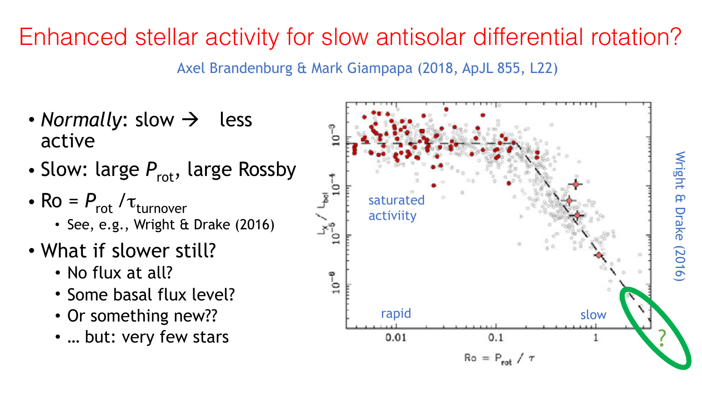## Enhanced stellar activity for slow antisolar differential rotation?

Axel Brandenburg & Mark Giampapa (2018, ApJL 855, L22)

- *Normally:* slow  $\rightarrow$  less active
- Slow: large  $P_{\text{rot}}$ , large Rossby
- $Ro = P_{rot}/\tau_{turnover}$ 
	- See, e.g., Wright & Drake (2016)
- What if slower still?
	- No flux at all?
	- Some basal flux level?
	- Or something new??
	- … but: very few stars

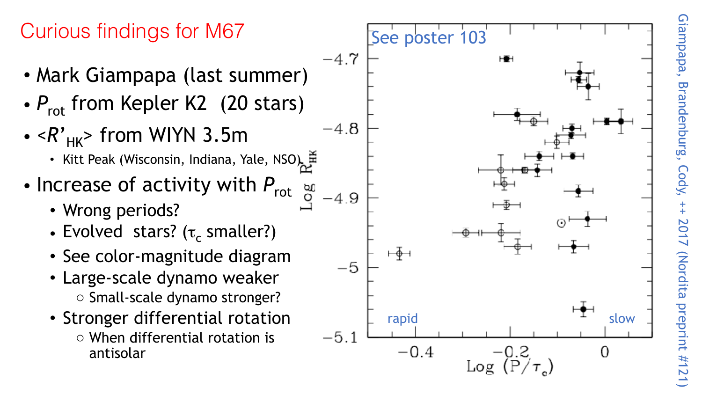#### Curious findings for M67 See poster 103  $-4.7$ • Mark Giampapa (last summer) •  $P_{\text{rot}}$  from Kepler K2 (20 stars)  $-4.8$  $\bullet$  < $R^{\prime}$ <sub>HK</sub>> from WIYN 3.5m • Kitt Peak (Wisconsin, Indiana, Yale, NSO) • Increase of activity with  $P_{\text{rot}}$  and  $\Omega$ -4.9 • Wrong periods? • Evolved stars? ( $\tau_c$  smaller?)  $\overline{+}\overline{\Phi}$ • See color-magnitude diagram  $-5$ • Large-scale dynamo weaker o Small-scale dynamo stronger?

- Stronger differential rotation
	- o When differential rotation is antisolar

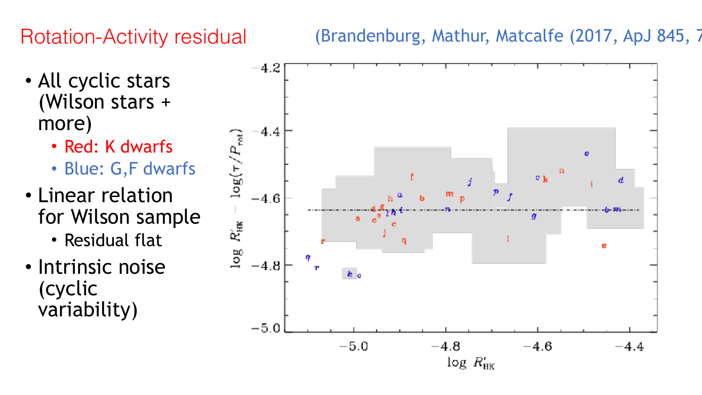#### Rotation-Activity residual

- All cyclic stars (Wilson stars + more)
	- Red: K dwarfs
	- Blue: G,F dwarfs
- Linear relation for Wilson sample
	- Residual flat
- Intrinsic noise (cyclic variability)

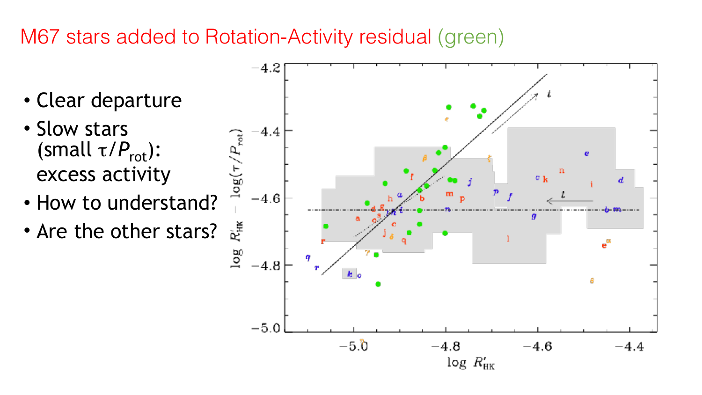#### M67 stars added to Rotation-Activity residual (green)

- Clear departure
- Slow stars (small  $\tau/P_{\text{rot}}$ ): excess activity • Slow stars<br>
(small  $\tau/P_{\text{rot}}$ ):<br>
excess activity<br>
• How to understand?
- 
- Are the other stars?

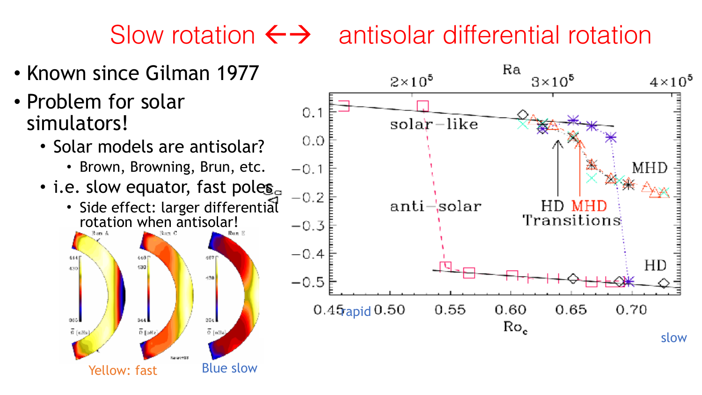## Slow rotation  $\leftrightarrow$  antisolar differential rotation

- Known since Gilman 1977
- Problem for solar simulators!
	- Solar models are antisolar?
		- Brown, Browning, Brun, etc.
	- i.e. slow equator, fast poles
		- Side effect: larger differential rotation when antisolar!



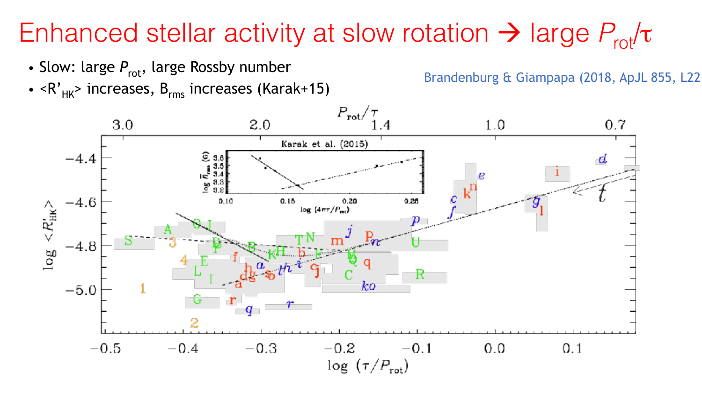#### Enhanced stellar activity at slow rotation  $\rightarrow$  large  $P_{rot}/\tau$

- Slow: large  $P_{\text{rot}}$ , large Rossby number
- Stow, targe  $r_{rot}$ , targe rossby number<br>•  $R_{HK}$  Brandenburg & Giampapa (2018, ApJL 855, L22)<br>•  $R_{HK}$  increases, B<sub>rms</sub> increases (Karak+15)

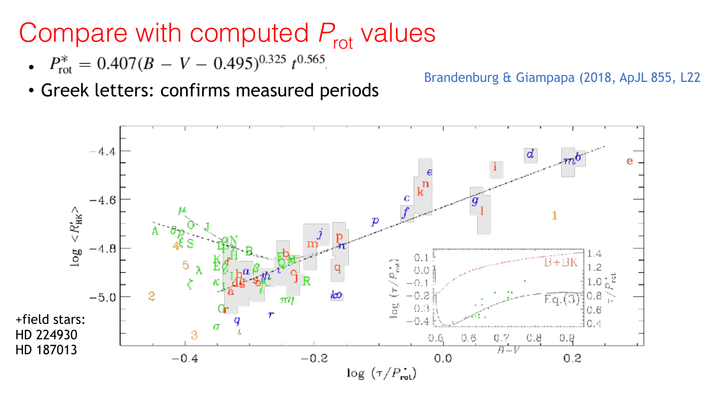### Compare with computed  $P_{\text{rot}}$  values

- $P_{\text{rot}}^* = 0.407(B V 0.495)^{0.325} t^{0.565}$
- Greek letters: confirms measured periods Brandenburg & Giampapa (2018, ApJL 855, L22)

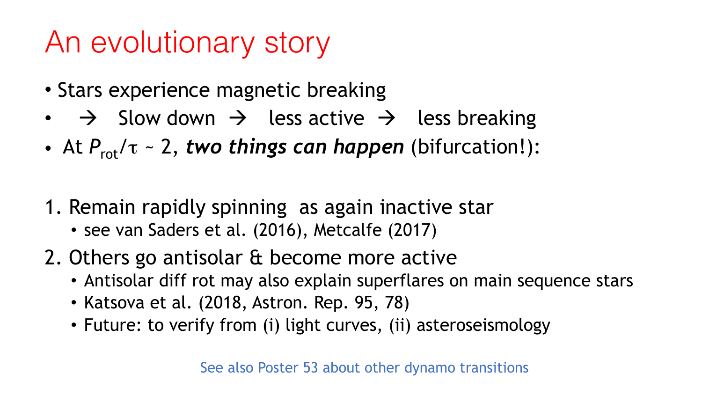## An evolutionary story

- Stars experience magnetic breaking
- $\rightarrow$  Slow down  $\rightarrow$  less active  $\rightarrow$  less breaking
- At  $P_{\rm rot}/\tau \sim 2$ , *two things can happen* (bifurcation!):
- 1. Remain rapidly spinning as again inactive star
	- see van Saders et al. (2016), Metcalfe (2017)
- 2. Others go antisolar & become more active
	- Antisolar diff rot may also explain superflares on main sequence stars
	- Katsova et al. (2018, Astron. Rep. 95, 78)
	- Future: to verify from (i) light curves, (ii) asteroseismology